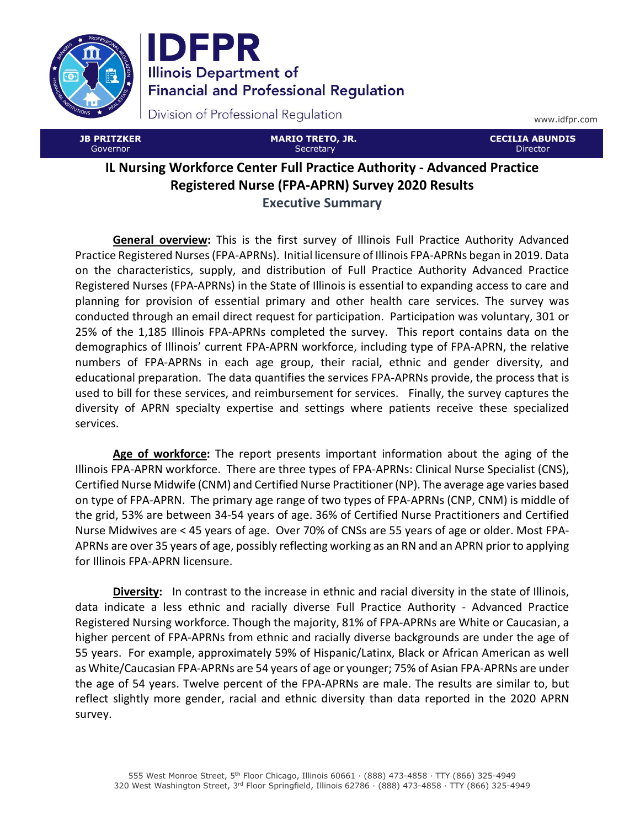

**IDFPR Illinois Department of Financial and Professional Regulation** 

Division of Professional Regulation

www.idfpr.com

| <b>JB PRITZKER</b><br>Governor | <b>MARIO TRETO, JR.</b><br>Secretary                                           | <b>LCECILIA ABUNDIS'</b><br>Director |
|--------------------------------|--------------------------------------------------------------------------------|--------------------------------------|
|                                | <b>IL Nursing Workforce Center Full Practice Authority - Advanced Practice</b> |                                      |
|                                | <b>Registered Nurse (FPA-APRN) Survey 2020 Results</b>                         |                                      |

## Executive Summary

General overview: This is the first survey of Illinois Full Practice Authority Advanced Practice Registered Nurses (FPA-APRNs). Initial licensure of Illinois FPA-APRNs began in 2019. Data on the characteristics, supply, and distribution of Full Practice Authority Advanced Practice Registered Nurses (FPA-APRNs) in the State of Illinois is essential to expanding access to care and planning for provision of essential primary and other health care services. The survey was conducted through an email direct request for participation. Participation was voluntary, 301 or 25% of the 1,185 Illinois FPA-APRNs completed the survey. This report contains data on the demographics of Illinois' current FPA-APRN workforce, including type of FPA-APRN, the relative numbers of FPA-APRNs in each age group, their racial, ethnic and gender diversity, and educational preparation. The data quantifies the services FPA-APRNs provide, the process that is used to bill for these services, and reimbursement for services. Finally, the survey captures the diversity of APRN specialty expertise and settings where patients receive these specialized services.

Age of workforce: The report presents important information about the aging of the Illinois FPA-APRN workforce. There are three types of FPA-APRNs: Clinical Nurse Specialist (CNS), Certified Nurse Midwife (CNM) and Certified Nurse Practitioner (NP). The average age varies based on type of FPA-APRN. The primary age range of two types of FPA-APRNs (CNP, CNM) is middle of the grid, 53% are between 34-54 years of age. 36% of Certified Nurse Practitioners and Certified Nurse Midwives are < 45 years of age. Over 70% of CNSs are 55 years of age or older. Most FPA-APRNs are over 35 years of age, possibly reflecting working as an RN and an APRN prior to applying for Illinois FPA-APRN licensure.

Diversity: In contrast to the increase in ethnic and racial diversity in the state of Illinois, data indicate a less ethnic and racially diverse Full Practice Authority - Advanced Practice Registered Nursing workforce. Though the majority, 81% of FPA-APRNs are White or Caucasian, a higher percent of FPA-APRNs from ethnic and racially diverse backgrounds are under the age of 55 years. For example, approximately 59% of Hispanic/Latinx, Black or African American as well as White/Caucasian FPA-APRNs are 54 years of age or younger; 75% of Asian FPA-APRNs are under the age of 54 years. Twelve percent of the FPA-APRNs are male. The results are similar to, but reflect slightly more gender, racial and ethnic diversity than data reported in the 2020 APRN survey.